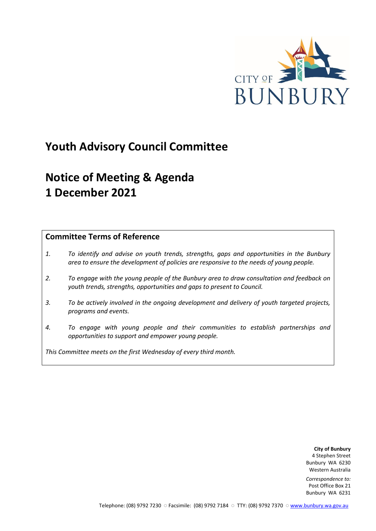

## **Youth Advisory Council Committee**

# **Notice of Meeting & Agenda 1 December 2021**

## **Committee Terms of Reference**

- *1. To identify and advise on youth trends, strengths, gaps and opportunities in the Bunbury area to ensure the development of policies are responsive to the needs of young people.*
- *2. To engage with the young people of the Bunbury area to draw consultation and feedback on youth trends, strengths, opportunities and gaps to present to Council.*
- *3. To be actively involved in the ongoing development and delivery of youth targeted projects, programs and events.*
- *4. To engage with young people and their communities to establish partnerships and opportunities to support and empower young people.*

*This Committee meets on the first Wednesday of every third month.*

**City of Bunbury** 4 Stephen Street Bunbury WA 6230 Western Australia

*Correspondence to:* Post Office Box 21 Bunbury WA 6231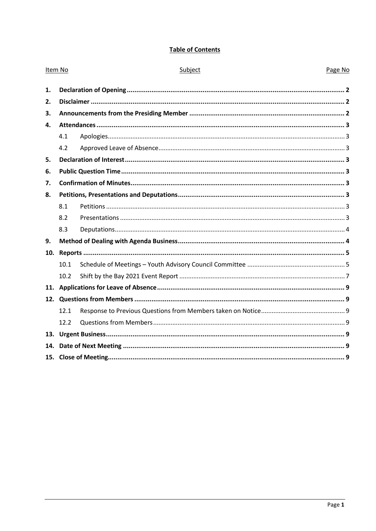## **Table of Contents**

| Item No |      | Subject | Page No |
|---------|------|---------|---------|
| 1.      |      |         |         |
| 2.      |      |         |         |
| 3.      |      |         |         |
| 4.      |      |         |         |
|         | 4.1  |         |         |
|         | 4.2  |         |         |
| 5.      |      |         |         |
| 6.      |      |         |         |
| 7.      |      |         |         |
| 8.      |      |         |         |
|         | 8.1  |         |         |
|         | 8.2  |         |         |
|         | 8.3  |         |         |
| 9.      |      |         |         |
| 10.     |      |         |         |
|         | 10.1 |         |         |
|         | 10.2 |         |         |
| 11.     |      |         |         |
|         |      |         |         |
|         | 12.1 |         |         |
|         | 12.2 |         |         |
| 13.     |      |         |         |
| 14.     |      |         |         |
|         |      |         |         |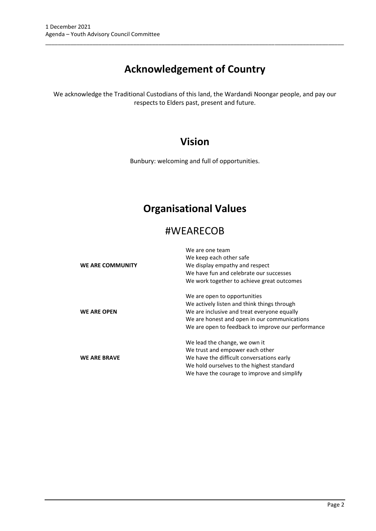## **Acknowledgement of Country**

\_\_\_\_\_\_\_\_\_\_\_\_\_\_\_\_\_\_\_\_\_\_\_\_\_\_\_\_\_\_\_\_\_\_\_\_\_\_\_\_\_\_\_\_\_\_\_\_\_\_\_\_\_\_\_\_\_\_\_\_\_\_\_\_\_\_\_\_\_\_\_\_\_\_\_\_\_\_\_\_\_\_\_\_\_\_\_\_\_\_\_\_\_\_\_

We acknowledge the Traditional Custodians of this land, the Wardandi Noongar people, and pay our respects to Elders past, present and future.

## **Vision**

Bunbury: welcoming and full of opportunities.

## **Organisational Values**

## #WEARECOB

|                     | We are one team                                    |
|---------------------|----------------------------------------------------|
|                     | We keep each other safe                            |
| WE ARE COMMUNITY    | We display empathy and respect                     |
|                     | We have fun and celebrate our successes            |
|                     | We work together to achieve great outcomes         |
|                     | We are open to opportunities                       |
|                     | We actively listen and think things through        |
| <b>WE ARE OPEN</b>  | We are inclusive and treat everyone equally        |
|                     | We are honest and open in our communications       |
|                     | We are open to feedback to improve our performance |
|                     | We lead the change, we own it                      |
|                     | We trust and empower each other                    |
| <b>WE ARE BRAVE</b> | We have the difficult conversations early          |
|                     | We hold ourselves to the highest standard          |
|                     | We have the courage to improve and simplify        |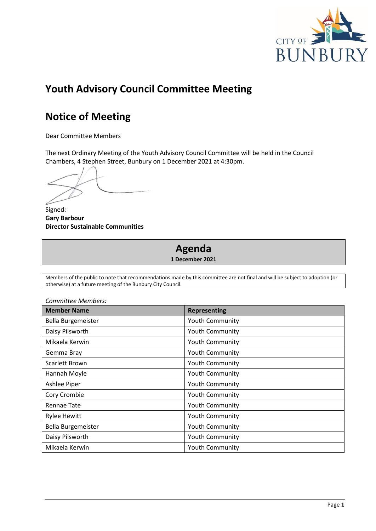

## **Youth Advisory Council Committee Meeting**

## **Notice of Meeting**

Dear Committee Members

The next Ordinary Meeting of the Youth Advisory Council Committee will be held in the Council Chambers, 4 Stephen Street, Bunbury on 1 December 2021 at 4:30pm.

Signed: **Gary Barbour Director Sustainable Communities**

# **Agenda**

**1 December 2021**

Members of the public to note that recommendations made by this committee are not final and will be subject to adoption (or otherwise) at a future meeting of the Bunbury City Council.

| <b>Member Name</b>  | <b>Representing</b>    |
|---------------------|------------------------|
| Bella Burgemeister  | Youth Community        |
| Daisy Pilsworth     | <b>Youth Community</b> |
| Mikaela Kerwin      | Youth Community        |
| Gemma Bray          | <b>Youth Community</b> |
| Scarlett Brown      | <b>Youth Community</b> |
| Hannah Moyle        | <b>Youth Community</b> |
| Ashlee Piper        | <b>Youth Community</b> |
| Cory Crombie        | Youth Community        |
| <b>Rennae Tate</b>  | <b>Youth Community</b> |
| <b>Rylee Hewitt</b> | <b>Youth Community</b> |
| Bella Burgemeister  | Youth Community        |
| Daisy Pilsworth     | <b>Youth Community</b> |
| Mikaela Kerwin      | <b>Youth Community</b> |

*Committee Members:*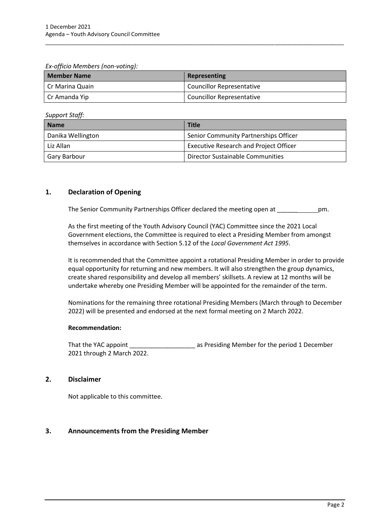*Ex-officio Members (non-voting):*

| <b>Member Name</b> | Representing                     |
|--------------------|----------------------------------|
| I Cr Marina Quain  | <b>Councillor Representative</b> |
| Cr Amanda Yip      | <b>Councillor Representative</b> |

\_\_\_\_\_\_\_\_\_\_\_\_\_\_\_\_\_\_\_\_\_\_\_\_\_\_\_\_\_\_\_\_\_\_\_\_\_\_\_\_\_\_\_\_\_\_\_\_\_\_\_\_\_\_\_\_\_\_\_\_\_\_\_\_\_\_\_\_\_\_\_\_\_\_\_\_\_\_\_\_\_\_\_\_\_\_\_\_\_\_\_\_\_\_\_

*Support Staff:*

| <b>Name</b>       | <b>Title</b>                                  |
|-------------------|-----------------------------------------------|
| Danika Wellington | Senior Community Partnerships Officer         |
| Liz Allan         | <b>Executive Research and Project Officer</b> |
| Gary Barbour      | Director Sustainable Communities              |

## <span id="page-4-0"></span>**1. Declaration of Opening**

The Senior Community Partnerships Officer declared the meeting open at \_\_\_\_\_\_\_\_\_\_\_\_\_pm.

As the first meeting of the Youth Advisory Council (YAC) Committee since the 2021 Local Government elections, the Committee is required to elect a Presiding Member from amongst themselves in accordance with Section 5.12 of the *Local Government Act 1995*.

It is recommended that the Committee appoint a rotational Presiding Member in order to provide equal opportunity for returning and new members. It will also strengthen the group dynamics, create shared responsibility and develop all members' skillsets. A review at 12 months will be undertake whereby one Presiding Member will be appointed for the remainder of the term.

Nominations for the remaining three rotational Presiding Members (March through to December 2022) will be presented and endorsed at the next formal meeting on 2 March 2022.

#### **Recommendation:**

That the YAC appoint \_\_\_\_\_\_\_\_\_\_\_\_\_\_\_\_\_\_\_\_\_\_\_ as Presiding Member for the period 1 December 2021 through 2 March 2022.

### <span id="page-4-1"></span>**2. Disclaimer**

Not applicable to this committee.

### <span id="page-4-2"></span>**3. Announcements from the Presiding Member**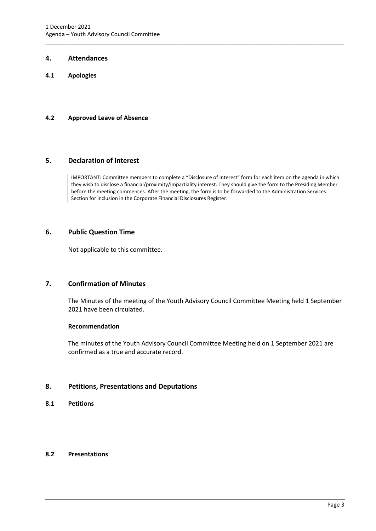#### <span id="page-5-0"></span>**4. Attendances**

<span id="page-5-1"></span>**4.1 Apologies**

#### <span id="page-5-2"></span>**4.2 Approved Leave of Absence**

#### <span id="page-5-3"></span>**5. Declaration of Interest**

IMPORTANT: Committee members to complete a "Disclosure of Interest" form for each item on the agenda in which they wish to disclose a financial/proximity/impartiality interest. They should give the form to the Presiding Member before the meeting commences. After the meeting, the form is to be forwarded to the Administration Services Section for inclusion in the Corporate Financial Disclosures Register.

\_\_\_\_\_\_\_\_\_\_\_\_\_\_\_\_\_\_\_\_\_\_\_\_\_\_\_\_\_\_\_\_\_\_\_\_\_\_\_\_\_\_\_\_\_\_\_\_\_\_\_\_\_\_\_\_\_\_\_\_\_\_\_\_\_\_\_\_\_\_\_\_\_\_\_\_\_\_\_\_\_\_\_\_\_\_\_\_\_\_\_\_\_\_\_

#### <span id="page-5-4"></span>**6. Public Question Time**

Not applicable to this committee.

### <span id="page-5-5"></span>**7. Confirmation of Minutes**

The Minutes of the meeting of the Youth Advisory Council Committee Meeting held 1 September 2021 have been circulated.

#### **Recommendation**

The minutes of the Youth Advisory Council Committee Meeting held on 1 September 2021 are confirmed as a true and accurate record.

#### <span id="page-5-6"></span>**8. Petitions, Presentations and Deputations**

<span id="page-5-7"></span>**8.1 Petitions**

#### <span id="page-5-8"></span>**8.2 Presentations**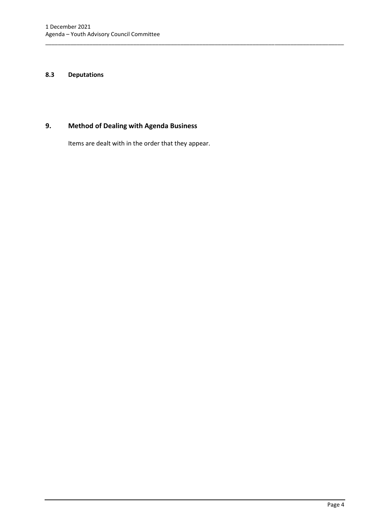#### <span id="page-6-0"></span>**8.3 Deputations**

## <span id="page-6-1"></span>**9. Method of Dealing with Agenda Business**

Items are dealt with in the order that they appear.

\_\_\_\_\_\_\_\_\_\_\_\_\_\_\_\_\_\_\_\_\_\_\_\_\_\_\_\_\_\_\_\_\_\_\_\_\_\_\_\_\_\_\_\_\_\_\_\_\_\_\_\_\_\_\_\_\_\_\_\_\_\_\_\_\_\_\_\_\_\_\_\_\_\_\_\_\_\_\_\_\_\_\_\_\_\_\_\_\_\_\_\_\_\_\_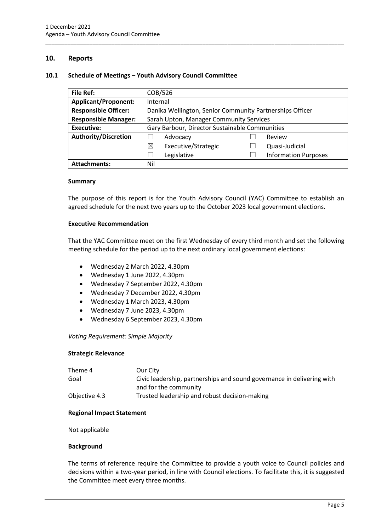#### <span id="page-7-0"></span>**10. Reports**

#### <span id="page-7-1"></span>**10.1 Schedule of Meetings – Youth Advisory Council Committee**

| <b>File Ref:</b>            | COB/526                                                  |  |                             |
|-----------------------------|----------------------------------------------------------|--|-----------------------------|
| <b>Applicant/Proponent:</b> | Internal                                                 |  |                             |
| <b>Responsible Officer:</b> | Danika Wellington, Senior Community Partnerships Officer |  |                             |
| <b>Responsible Manager:</b> | Sarah Upton, Manager Community Services                  |  |                             |
| <b>Executive:</b>           | Gary Barbour, Director Sustainable Communities           |  |                             |
| <b>Authority/Discretion</b> | Advocacy                                                 |  | Review                      |
|                             | ⊠<br>Executive/Strategic                                 |  | Quasi-Judicial              |
|                             | Legislative                                              |  | <b>Information Purposes</b> |
| <b>Attachments:</b>         | Nil                                                      |  |                             |

\_\_\_\_\_\_\_\_\_\_\_\_\_\_\_\_\_\_\_\_\_\_\_\_\_\_\_\_\_\_\_\_\_\_\_\_\_\_\_\_\_\_\_\_\_\_\_\_\_\_\_\_\_\_\_\_\_\_\_\_\_\_\_\_\_\_\_\_\_\_\_\_\_\_\_\_\_\_\_\_\_\_\_\_\_\_\_\_\_\_\_\_\_\_\_

#### **Summary**

The purpose of this report is for the Youth Advisory Council (YAC) Committee to establish an agreed schedule for the next two years up to the October 2023 local government elections.

#### **Executive Recommendation**

That the YAC Committee meet on the first Wednesday of every third month and set the following meeting schedule for the period up to the next ordinary local government elections:

- Wednesday 2 March 2022, 4.30pm
- Wednesday 1 June 2022, 4.30pm
- Wednesday 7 September 2022, 4.30pm
- Wednesday 7 December 2022, 4.30pm
- Wednesday 1 March 2023, 4.30pm
- Wednesday 7 June 2023, 4.30pm
- Wednesday 6 September 2023, 4.30pm

#### *Voting Requirement: Simple Majority*

#### **Strategic Relevance**

| Theme 4       | Our City                                                               |
|---------------|------------------------------------------------------------------------|
| Goal          | Civic leadership, partnerships and sound governance in delivering with |
|               | and for the community                                                  |
| Objective 4.3 | Trusted leadership and robust decision-making                          |

#### **Regional Impact Statement**

Not applicable

#### **Background**

The terms of reference require the Committee to provide a youth voice to Council policies and decisions within a two-year period, in line with Council elections. To facilitate this, it is suggested the Committee meet every three months.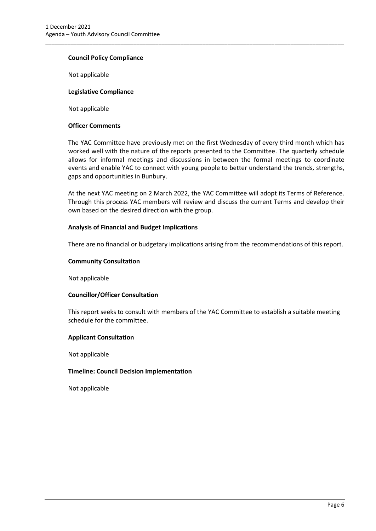#### **Council Policy Compliance**

Not applicable

#### **Legislative Compliance**

Not applicable

#### **Officer Comments**

The YAC Committee have previously met on the first Wednesday of every third month which has worked well with the nature of the reports presented to the Committee. The quarterly schedule allows for informal meetings and discussions in between the formal meetings to coordinate events and enable YAC to connect with young people to better understand the trends, strengths, gaps and opportunities in Bunbury.

\_\_\_\_\_\_\_\_\_\_\_\_\_\_\_\_\_\_\_\_\_\_\_\_\_\_\_\_\_\_\_\_\_\_\_\_\_\_\_\_\_\_\_\_\_\_\_\_\_\_\_\_\_\_\_\_\_\_\_\_\_\_\_\_\_\_\_\_\_\_\_\_\_\_\_\_\_\_\_\_\_\_\_\_\_\_\_\_\_\_\_\_\_\_\_

At the next YAC meeting on 2 March 2022, the YAC Committee will adopt its Terms of Reference. Through this process YAC members will review and discuss the current Terms and develop their own based on the desired direction with the group.

#### **Analysis of Financial and Budget Implications**

There are no financial or budgetary implications arising from the recommendations of this report.

#### **Community Consultation**

Not applicable

#### **Councillor/Officer Consultation**

This report seeks to consult with members of the YAC Committee to establish a suitable meeting schedule for the committee.

#### **Applicant Consultation**

Not applicable

#### **Timeline: Council Decision Implementation**

Not applicable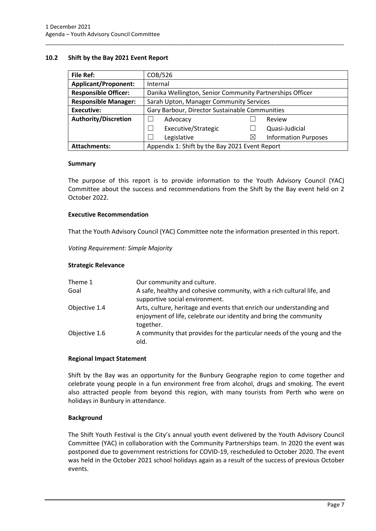#### <span id="page-9-0"></span>**10.2 Shift by the Bay 2021 Event Report**

| <b>File Ref:</b>                                                      | COB/526                                                  |   |                             |
|-----------------------------------------------------------------------|----------------------------------------------------------|---|-----------------------------|
| <b>Applicant/Proponent:</b>                                           | Internal                                                 |   |                             |
| <b>Responsible Officer:</b>                                           | Danika Wellington, Senior Community Partnerships Officer |   |                             |
| <b>Responsible Manager:</b>                                           | Sarah Upton, Manager Community Services                  |   |                             |
| Executive:                                                            | Gary Barbour, Director Sustainable Communities           |   |                             |
| <b>Authority/Discretion</b>                                           | Advocacy                                                 |   | Review                      |
|                                                                       | Executive/Strategic                                      |   | Quasi-Judicial              |
|                                                                       | Legislative                                              | ⋉ | <b>Information Purposes</b> |
| Appendix 1: Shift by the Bay 2021 Event Report<br><b>Attachments:</b> |                                                          |   |                             |

\_\_\_\_\_\_\_\_\_\_\_\_\_\_\_\_\_\_\_\_\_\_\_\_\_\_\_\_\_\_\_\_\_\_\_\_\_\_\_\_\_\_\_\_\_\_\_\_\_\_\_\_\_\_\_\_\_\_\_\_\_\_\_\_\_\_\_\_\_\_\_\_\_\_\_\_\_\_\_\_\_\_\_\_\_\_\_\_\_\_\_\_\_\_\_

#### **Summary**

The purpose of this report is to provide information to the Youth Advisory Council (YAC) Committee about the success and recommendations from the Shift by the Bay event held on 2 October 2022.

#### **Executive Recommendation**

That the Youth Advisory Council (YAC) Committee note the information presented in this report.

*Voting Requirement: Simple Majority* 

#### **Strategic Relevance**

| Theme 1       | Our community and culture.                                                                                                                             |
|---------------|--------------------------------------------------------------------------------------------------------------------------------------------------------|
| Goal          | A safe, healthy and cohesive community, with a rich cultural life, and<br>supportive social environment.                                               |
| Objective 1.4 | Arts, culture, heritage and events that enrich our understanding and<br>enjoyment of life, celebrate our identity and bring the community<br>together. |
| Objective 1.6 | A community that provides for the particular needs of the young and the<br>old.                                                                        |

#### **Regional Impact Statement**

Shift by the Bay was an opportunity for the Bunbury Geographe region to come together and celebrate young people in a fun environment free from alcohol, drugs and smoking. The event also attracted people from beyond this region, with many tourists from Perth who were on holidays in Bunbury in attendance.

#### **Background**

The Shift Youth Festival is the City's annual youth event delivered by the Youth Advisory Council Committee (YAC) in collaboration with the Community Partnerships team. In 2020 the event was postponed due to government restrictions for COVID-19, rescheduled to October 2020. The event was held in the October 2021 school holidays again as a result of the success of previous October events.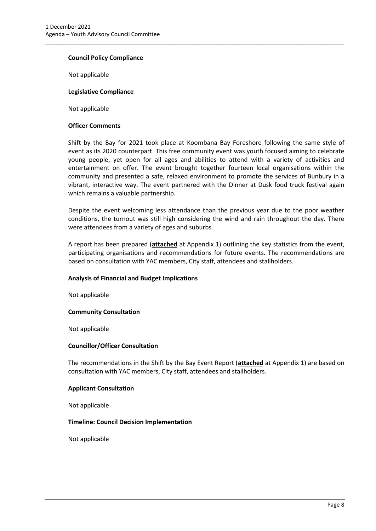#### **Council Policy Compliance**

Not applicable

#### **Legislative Compliance**

Not applicable

#### **Officer Comments**

Shift by the Bay for 2021 took place at Koombana Bay Foreshore following the same style of event as its 2020 counterpart. This free community event was youth focused aiming to celebrate young people, yet open for all ages and abilities to attend with a variety of activities and entertainment on offer. The event brought together fourteen local organisations within the community and presented a safe, relaxed environment to promote the services of Bunbury in a vibrant, interactive way. The event partnered with the Dinner at Dusk food truck festival again which remains a valuable partnership.

\_\_\_\_\_\_\_\_\_\_\_\_\_\_\_\_\_\_\_\_\_\_\_\_\_\_\_\_\_\_\_\_\_\_\_\_\_\_\_\_\_\_\_\_\_\_\_\_\_\_\_\_\_\_\_\_\_\_\_\_\_\_\_\_\_\_\_\_\_\_\_\_\_\_\_\_\_\_\_\_\_\_\_\_\_\_\_\_\_\_\_\_\_\_\_

Despite the event welcoming less attendance than the previous year due to the poor weather conditions, the turnout was still high considering the wind and rain throughout the day. There were attendees from a variety of ages and suburbs.

A report has been prepared (**attached** at Appendix 1) outlining the key statistics from the event, participating organisations and recommendations for future events. The recommendations are based on consultation with YAC members, City staff, attendees and stallholders.

#### **Analysis of Financial and Budget Implications**

Not applicable

#### **Community Consultation**

Not applicable

#### **Councillor/Officer Consultation**

The recommendations in the Shift by the Bay Event Report (**attached** at Appendix 1) are based on consultation with YAC members, City staff, attendees and stallholders.

#### **Applicant Consultation**

Not applicable

#### **Timeline: Council Decision Implementation**

Not applicable